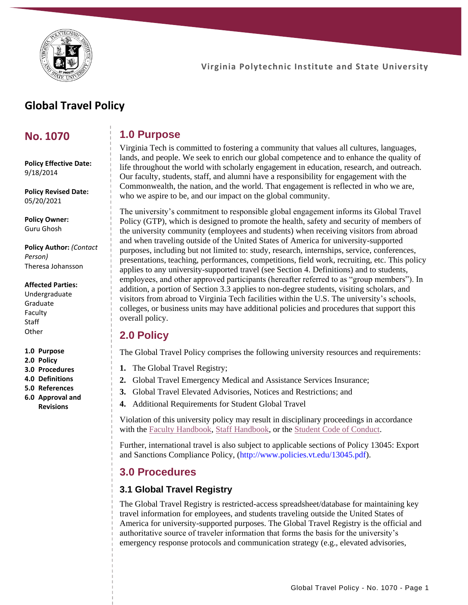

# **Global Travel Policy**

### **No. 1070**

**Policy Effective Date:** 9/18/2014

**Policy Revised Date:** 05/20/2021

**Policy Owner:** Guru Ghosh

**Policy Author:** *(Contact Person)* Theresa Johansson

#### **Affected Parties:**

Undergraduate Graduate Faculty **Staff Other** 

**1.0 Purpose**

- **2.0 Policy**
- **3.0 Procedures**
- **4.0 Definitions**
- **5.0 References 6.0 Approval and**
- **Revisions**

### **1.0 Purpose**

Virginia Tech is committed to fostering a community that values all cultures, languages, lands, and people. We seek to enrich our global competence and to enhance the quality of life throughout the world with scholarly engagement in education, research, and outreach. Our faculty, students, staff, and alumni have a responsibility for engagement with the Commonwealth, the nation, and the world. That engagement is reflected in who we are, who we aspire to be, and our impact on the global community.

The university's commitment to responsible global engagement informs its Global Travel Policy (GTP), which is designed to promote the health, safety and security of members of the university community (employees and students) when receiving visitors from abroad and when traveling outside of the United States of America for university-supported purposes, including but not limited to: study, research, internships, service, conferences, presentations, teaching, performances, competitions, field work, recruiting, etc. This policy applies to any university-supported travel (see Section 4. Definitions) and to students, employees, and other approved participants (hereafter referred to as "group members"). In addition, a portion of Section 3.3 applies to non-degree students, visiting scholars, and visitors from abroad to Virginia Tech facilities within the U.S. The university's schools, colleges, or business units may have additional policies and procedures that support this overall policy.

## **2.0 Policy**

The Global Travel Policy comprises the following university resources and requirements:

- **1.** The Global Travel Registry;
- **2.** Global Travel Emergency Medical and Assistance Services Insurance;
- **3.** Global Travel Elevated Advisories, Notices and Restrictions; and
- **4.** Additional Requirements for Student Global Travel

Violation of this university policy may result in disciplinary proceedings in accordance with the [Faculty Handbook,](https://faculty.vt.edu/faculty-handbook.html) [Staff Handbook,](https://www.hr.vt.edu/resources/current-employees/policies-handbooks.html) or the [Student Code of Conduct.](http://www.hokiehandbook.vt.edu/)

Further, international travel is also subject to applicable sections of Policy 13045: Export and Sanctions Compliance Policy, [\(http://www.policies.vt.edu/13045.pdf\)](http://www.policies.vt.edu/13045.pdf).

### **3.0 Procedures**

### **3.1 Global Travel Registry**

The Global Travel Registry is restricted-access spreadsheet/database for maintaining key travel information for employees, and students traveling outside the United States of America for university-supported purposes. The Global Travel Registry is the official and authoritative source of traveler information that forms the basis for the university's emergency response protocols and communication strategy (e.g., elevated advisories,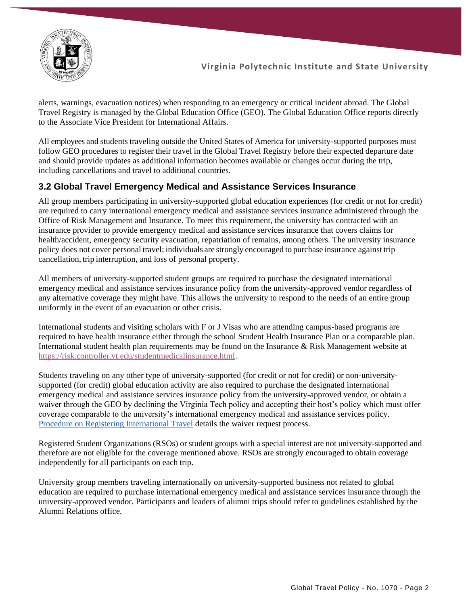

alerts, warnings, evacuation notices) when responding to an emergency or critical incident abroad. The Global Travel Registry is managed by the Global Education Office (GEO). The Global Education Office reports directly to the Associate Vice President for International Affairs.

All employees and students traveling outside the United States of America for university-supported purposes must follow GEO procedures to register their travel in the Global Travel Registry before their expected departure date and should provide updates as additional information becomes available or changes occur during the trip, including cancellations and travel to additional countries.

### **3.2 Global Travel Emergency Medical and Assistance Services Insurance**

All group members participating in university-supported global education experiences (for credit or not for credit) are required to carry international emergency medical and assistance services insurance administered through the Office of Risk Management and Insurance. To meet this requirement, the university has contracted with an insurance provider to provide emergency medical and assistance services insurance that covers claims for health/accident, emergency security evacuation, repatriation of remains, among others. The university insurance policy does not cover personal travel; individuals are strongly encouraged to purchase insurance against trip cancellation, trip interruption, and loss of personal property.

All members of university-supported student groups are required to purchase the designated international emergency medical and assistance services insurance policy from the university-approved vendor regardless of any alternative coverage they might have. This allows the university to respond to the needs of an entire group uniformly in the event of an evacuation or other crisis.

International students and visiting scholars with F or J Visas who are attending campus-based programs are required to have health insurance either through the school Student Health Insurance Plan or a comparable plan. International student health plan requirements may be found on the Insurance & Risk Management website at [https://risk.controller.vt.edu/studentmedicalinsurance.html.](https://risk.controller.vt.edu/studentmedicalinsurance.html)

Students traveling on any other type of university-supported (for credit or not for credit) or non-universitysupported (for credit) global education activity are also required to purchase the designated international emergency medical and assistance services insurance policy from the university-approved vendor, or obtain a waiver through the GEO by declining the Virginia Tech policy and accepting their host's policy which must offer coverage comparable to the university's international emergency medical and assistance services policy. [Procedure on Registering International Travel](https://www.globaleducation.vt.edu/GlobalSafety/policies-plans-globalsafety.html) details the waiver request process.

Registered Student Organizations (RSOs) or student groups with a special interest are not university-supported and therefore are not eligible for the coverage mentioned above. RSOs are strongly encouraged to obtain coverage independently for all participants on each trip.

University group members traveling internationally on university-supported business not related to global education are required to purchase international emergency medical and assistance services insurance through the university-approved vendor. Participants and leaders of alumni trips should refer to guidelines established by the Alumni Relations office.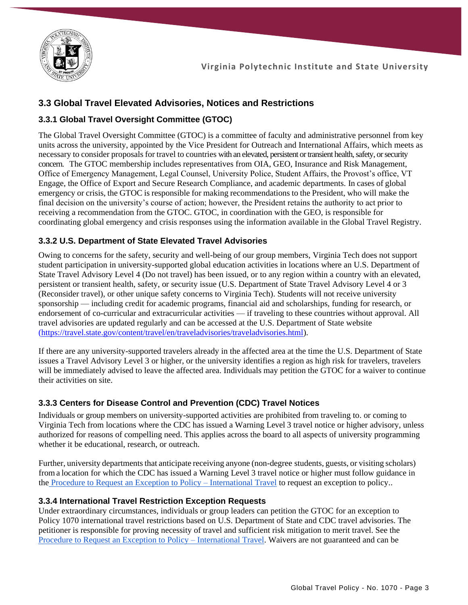

### **3.3 Global Travel Elevated Advisories, Notices and Restrictions**

### **3.3.1 Global Travel Oversight Committee (GTOC)**

The Global Travel Oversight Committee (GTOC) is a committee of faculty and administrative personnel from key units across the university, appointed by the Vice President for Outreach and International Affairs, which meets as necessary to consider proposals for travel to countries with an elevated, persistent or transient health, safety, or security concern. The GTOC membership includes representatives from OIA, GEO, Insurance and Risk Management, Office of Emergency Management, Legal Counsel, University Police, Student Affairs, the Provost's office, VT Engage, the Office of Export and Secure Research Compliance, and academic departments. In cases of global emergency or crisis, the GTOC is responsible for making recommendations to the President, who will make the final decision on the university's course of action; however, the President retains the authority to act prior to receiving a recommendation from the GTOC. GTOC, in coordination with the GEO, is responsible for coordinating global emergency and crisis responses using the information available in the Global Travel Registry.

### **3.3.2 U.S. Department of State Elevated Travel Advisories**

Owing to concerns for the safety, security and well-being of our group members, Virginia Tech does not support student participation in university-supported global education activities in locations where an U.S. Department of State Travel Advisory Level 4 (Do not travel) has been issued, or to any region within a country with an elevated, persistent or transient health, safety, or security issue (U.S. Department of State Travel Advisory Level 4 or 3 (Reconsider travel), or other unique safety concerns to Virginia Tech). Students will not receive university sponsorship — including credit for academic programs, financial aid and scholarships, funding for research, or endorsement of co-curricular and extracurricular activities — if traveling to these countries without approval. All travel advisories are updated regularly and can be accessed at the U.S. Department of State website [\(https://travel.state.gov/content/travel/en/traveladvisories/traveladvisories.html\)](https://travel.state.gov/content/travel/en/traveladvisories/traveladvisories.html).

If there are any university-supported travelers already in the affected area at the time the U.S. Department of State issues a Travel Advisory Level 3 or higher, or the university identifies a region as high risk for travelers, travelers will be immediately advised to leave the affected area. Individuals may petition the GTOC for a waiver to continue their activities on site.

#### **3.3.3 Centers for Disease Control and Prevention (CDC) Travel Notices**

Individuals or group members on university-supported activities are prohibited from traveling to. or coming to Virginia Tech from locations where the CDC has issued a Warning Level 3 travel notice or higher advisory, unless authorized for reasons of compelling need. This applies across the board to all aspects of university programming whether it be educational, research, or outreach.

Further, university departments that anticipate receiving anyone (non-degree students, guests, or visiting scholars) froma location for which the CDC has issued a Warning Level 3 travel notice or higher must follow guidance in the [Procedure to Request an Exception to Policy –](https://www.globaleducation.vt.edu/GlobalSafety/policies-plans-globalsafety.html) International Travel to request an exception to policy..

#### **3.3.4 International Travel Restriction Exception Requests**

Under extraordinary circumstances, individuals or group leaders can petition the GTOC for an exception to Policy 1070 international travel restrictions based on U.S. Department of State and CDC travel advisories. The petitioner is responsible for proving necessity of travel and sufficient risk mitigation to merit travel. See the [Procedure to Request an Exception to Policy –](https://www.globaleducation.vt.edu/GlobalSafety/policies-plans-globalsafety.html) International Travel. Waivers are not guaranteed and can be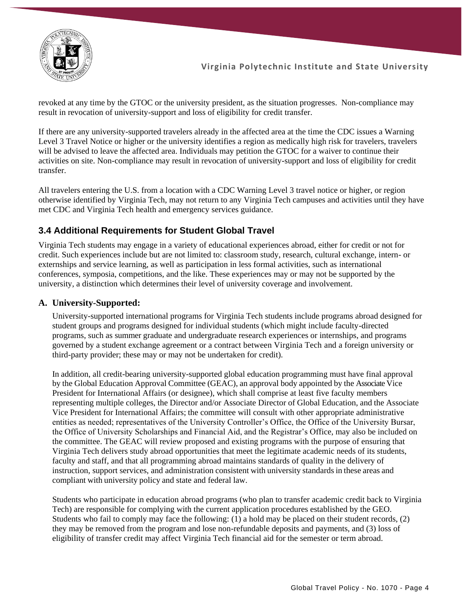

revoked at any time by the GTOC or the university president, as the situation progresses. Non-compliance may result in revocation of university-support and loss of eligibility for credit transfer.

If there are any university-supported travelers already in the affected area at the time the CDC issues a Warning Level 3 Travel Notice or higher or the university identifies a region as medically high risk for travelers, travelers will be advised to leave the affected area. Individuals may petition the GTOC for a waiver to continue their activities on site. Non-compliance may result in revocation of university-support and loss of eligibility for credit transfer.

All travelers entering the U.S. from a location with a CDC Warning Level 3 travel notice or higher, or region otherwise identified by Virginia Tech, may not return to any Virginia Tech campuses and activities until they have met CDC and Virginia Tech health and emergency services guidance.

### **3.4 Additional Requirements for Student Global Travel**

Virginia Tech students may engage in a variety of educational experiences abroad, either for credit or not for credit. Such experiences include but are not limited to: classroom study, research, cultural exchange, intern- or externships and service learning, as well as participation in less formal activities, such as international conferences, symposia, competitions, and the like. These experiences may or may not be supported by the university, a distinction which determines their level of university coverage and involvement.

#### **A. University-Supported:**

University-supported international programs for Virginia Tech students include programs abroad designed for student groups and programs designed for individual students (which might include faculty-directed programs, such as summer graduate and undergraduate research experiences or internships, and programs governed by a student exchange agreement or a contract between Virginia Tech and a foreign university or third-party provider; these may or may not be undertaken for credit).

In addition, all credit-bearing university-supported global education programming must have final approval by the Global Education Approval Committee (GEAC), an approval body appointed by the Associate Vice President for International Affairs (or designee), which shall comprise at least five faculty members representing multiple colleges, the Director and/or Associate Director of Global Education, and the Associate Vice President for International Affairs; the committee will consult with other appropriate administrative entities as needed; representatives of the University Controller's Office, the Office of the University Bursar, the Office of University Scholarships and Financial Aid, and the Registrar's Office, may also be included on the committee. The GEAC will review proposed and existing programs with the purpose of ensuring that Virginia Tech delivers study abroad opportunities that meet the legitimate academic needs of its students, faculty and staff, and that all programming abroad maintains standards of quality in the delivery of instruction, support services, and administration consistent with university standards in these areas and compliant with university policy and state and federal law.

Students who participate in education abroad programs (who plan to transfer academic credit back to Virginia Tech) are responsible for complying with the current application procedures established by the GEO. Students who fail to comply may face the following: (1) a hold may be placed on their student records, (2) they may be removed from the program and lose non-refundable deposits and payments, and (3) loss of eligibility of transfer credit may affect Virginia Tech financial aid for the semester or term abroad.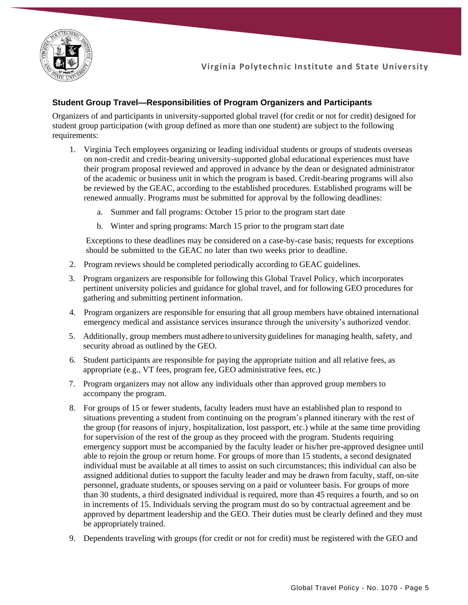

#### **Student Group Travel—Responsibilities of Program Organizers and Participants**

Organizers of and participants in university-supported global travel (for credit or not for credit) designed for student group participation (with group defined as more than one student) are subject to the following requirements:

- 1. Virginia Tech employees organizing or leading individual students or groups of students overseas on non-credit and credit-bearing university-supported global educational experiences must have their program proposal reviewed and approved in advance by the dean or designated administrator of the academic or business unit in which the program is based. Credit-bearing programs will also be reviewed by the GEAC, according to the established procedures. Established programs will be renewed annually. Programs must be submitted for approval by the following deadlines:
	- a. Summer and fall programs: October 15 prior to the program start date
	- b. Winter and spring programs: March 15 prior to the program start date

Exceptions to these deadlines may be considered on a case-by-case basis; requests for exceptions should be submitted to the GEAC no later than two weeks prior to deadline.

- 2. Program reviews should be completed periodically according to GEAC guidelines.
- 3. Program organizers are responsible for following this Global Travel Policy, which incorporates pertinent university policies and guidance for global travel, and for following GEO procedures for gathering and submitting pertinent information.
- 4. Program organizers are responsible for ensuring that all group members have obtained international emergency medical and assistance services insurance through the university's authorized vendor.
- 5. Additionally, group members must adhere to university guidelines for managing health, safety, and security abroad as outlined by the GEO.
- 6. Student participants are responsible for paying the appropriate tuition and all relative fees, as appropriate (e.g., VT fees, program fee, GEO administrative fees, etc.)
- 7. Program organizers may not allow any individuals other than approved group members to accompany the program.
- 8. For groups of 15 or fewer students, faculty leaders must have an established plan to respond to situations preventing a student from continuing on the program's planned itinerary with the rest of the group (for reasons of injury, hospitalization, lost passport, etc.) while at the same time providing for supervision of the rest of the group as they proceed with the program. Students requiring emergency support must be accompanied by the faculty leader or his/her pre-approved designee until able to rejoin the group or return home. For groups of more than 15 students, a second designated individual must be available at all times to assist on such circumstances; this individual can also be assigned additional duties to support the faculty leader and may be drawn from faculty, staff, on-site personnel, graduate students, or spouses serving on a paid or volunteer basis. For groups of more than 30 students, a third designated individual is required, more than 45 requires a fourth, and so on in increments of 15. Individuals serving the program must do so by contractual agreement and be approved by department leadership and the GEO. Their duties must be clearly defined and they must be appropriately trained.
- 9. Dependents traveling with groups (for credit or not for credit) must be registered with the GEO and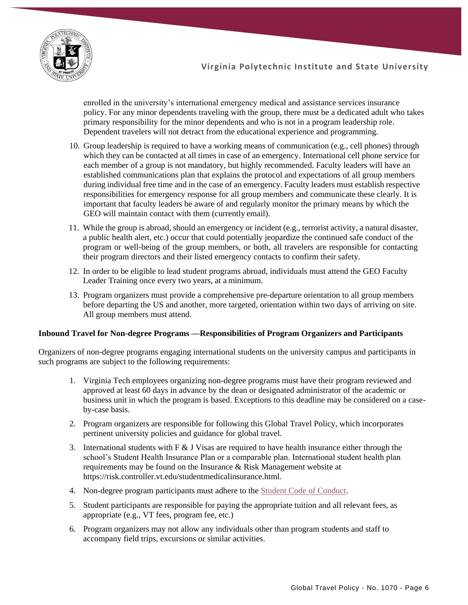

enrolled in the university's international emergency medical and assistance services insurance policy. For any minor dependents traveling with the group, there must be a dedicated adult who takes primary responsibility for the minor dependents and who is not in a program leadership role. Dependent travelers will not detract from the educational experience and programming.

- 10. Group leadership is required to have a working means of communication (e.g., cell phones) through which they can be contacted at all times in case of an emergency. International cell phone service for each member of a group is not mandatory, but highly recommended. Faculty leaders will have an established communications plan that explains the protocol and expectations of all group members during individual free time and in the case of an emergency. Faculty leaders must establish respective responsibilities for emergency response for all group members and communicate these clearly. It is important that faculty leaders be aware of and regularly monitor the primary means by which the GEO will maintain contact with them (currently email).
- 11. While the group is abroad, should an emergency or incident (e.g., terrorist activity, a natural disaster, a public health alert, etc.) occur that could potentially jeopardize the continued safe conduct of the program or well-being of the group members, or both, all travelers are responsible for contacting their program directors and their listed emergency contacts to confirm their safety.
- 12. In order to be eligible to lead student programs abroad, individuals must attend the GEO Faculty Leader Training once every two years, at a minimum.
- 13. Program organizers must provide a comprehensive pre-departure orientation to all group members before departing the US and another, more targeted, orientation within two days of arriving on site. All group members must attend.

#### **Inbound Travel for Non-degree Programs —Responsibilities of Program Organizers and Participants**

Organizers of non-degree programs engaging international students on the university campus and participants in such programs are subject to the following requirements:

- 1. Virginia Tech employees organizing non-degree programs must have their program reviewed and approved at least 60 days in advance by the dean or designated administrator of the academic or business unit in which the program is based. Exceptions to this deadline may be considered on a caseby-case basis.
- 2. Program organizers are responsible for following this Global Travel Policy, which incorporates pertinent university policies and guidance for global travel.
- 3. International students with F & J Visas are required to have health insurance either through the school's Student Health Insurance Plan or a comparable plan. International student health plan requirements may be found on the Insurance & Risk Management website at https://risk.controller.vt.edu/studentmedicalinsurance.html.
- 4. Non-degree program participants must adhere to the [Student Code of Conduct.](https://www.hokiehandbook.vt.edu/)
- 5. Student participants are responsible for paying the appropriate tuition and all relevant fees, as appropriate (e.g., VT fees, program fee, etc.)
- 6. Program organizers may not allow any individuals other than program students and staff to accompany field trips, excursions or similar activities.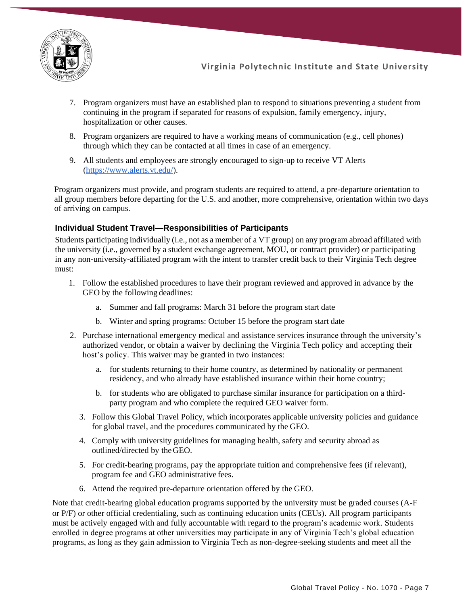

- 7. Program organizers must have an established plan to respond to situations preventing a student from continuing in the program if separated for reasons of expulsion, family emergency, injury, hospitalization or other causes.
- 8. Program organizers are required to have a working means of communication (e.g., cell phones) through which they can be contacted at all times in case of an emergency.
- 9. All students and employees are strongly encouraged to sign-up to receive VT Alerts [\(https://www.alerts.vt.edu/\)](https://www.alerts.vt.edu/).

Program organizers must provide, and program students are required to attend, a pre-departure orientation to all group members before departing for the U.S. and another, more comprehensive, orientation within two days of arriving on campus.

#### **Individual Student Travel—Responsibilities of Participants**

Students participating individually (i.e., not as a member of a VT group) on any program abroad affiliated with the university (i.e., governed by a student exchange agreement, MOU, or contract provider) or participating in any non-university-affiliated program with the intent to transfer credit back to their Virginia Tech degree must:

- 1. Follow the established procedures to have their program reviewed and approved in advance by the GEO by the following deadlines:
	- a. Summer and fall programs: March 31 before the program start date
	- b. Winter and spring programs: October 15 before the program start date
- 2. Purchase international emergency medical and assistance services insurance through the university's authorized vendor, or obtain a waiver by declining the Virginia Tech policy and accepting their host's policy. This waiver may be granted in two instances:
	- a. for students returning to their home country, as determined by nationality or permanent residency, and who already have established insurance within their home country;
	- b. for students who are obligated to purchase similar insurance for participation on a thirdparty program and who complete the required GEO waiver form.
	- 3. Follow this Global Travel Policy, which incorporates applicable university policies and guidance for global travel, and the procedures communicated by the GEO.
	- 4. Comply with university guidelines for managing health, safety and security abroad as outlined/directed by theGEO.
	- 5. For credit-bearing programs, pay the appropriate tuition and comprehensive fees (if relevant), program fee and GEO administrative fees.
	- 6. Attend the required pre-departure orientation offered by the GEO.

Note that credit-bearing global education programs supported by the university must be graded courses (A-F or P/F) or other official credentialing, such as continuing education units (CEUs). All program participants must be actively engaged with and fully accountable with regard to the program's academic work. Students enrolled in degree programs at other universities may participate in any of Virginia Tech's global education programs, as long as they gain admission to Virginia Tech as non-degree-seeking students and meet all the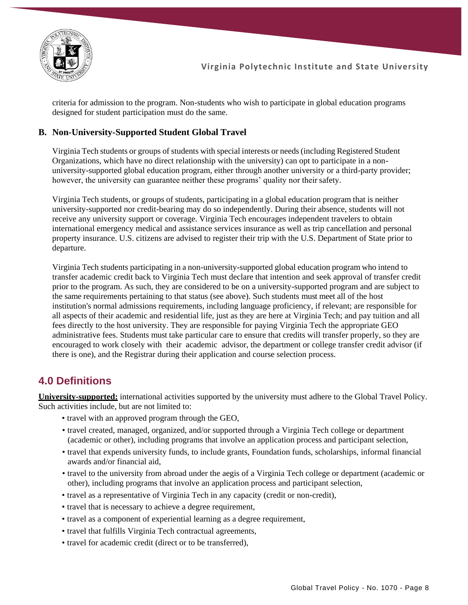

criteria for admission to the program. Non-students who wish to participate in global education programs designed for student participation must do the same.

#### **B. Non-University-Supported Student Global Travel**

Virginia Tech students or groups of students with special interests or needs(including Registered Student Organizations, which have no direct relationship with the university) can opt to participate in a nonuniversity-supported global education program, either through another university or a third-party provider; however, the university can guarantee neither these programs' quality nor their safety.

Virginia Tech students, or groups of students, participating in a global education program that is neither university-supported nor credit-bearing may do so independently. During their absence, students will not receive any university support or coverage. Virginia Tech encourages independent travelers to obtain international emergency medical and assistance services insurance as well as trip cancellation and personal property insurance. U.S. citizens are advised to register their trip with the U.S. Department of State prior to departure.

Virginia Tech students participating in a non-university-supported global education program who intend to transfer academic credit back to Virginia Tech must declare that intention and seek approval of transfer credit prior to the program. As such, they are considered to be on a university-supported program and are subject to the same requirements pertaining to that status (see above). Such students must meet all of the host institution's normal admissions requirements, including language proficiency, if relevant; are responsible for all aspects of their academic and residential life, just as they are here at Virginia Tech; and pay tuition and all fees directly to the host university. They are responsible for paying Virginia Tech the appropriate GEO administrative fees. Students must take particular care to ensure that credits will transfer properly, so they are encouraged to work closely with their academic advisor, the department or college transfer credit advisor (if there is one), and the Registrar during their application and course selection process.

### **4.0 Definitions**

**University-supported:** international activities supported by the university must adhere to the Global Travel Policy. Such activities include, but are not limited to:

- travel with an approved program through the GEO,
- travel created, managed, organized, and/or supported through a Virginia Tech college or department (academic or other), including programs that involve an application process and participant selection,
- travel that expends university funds, to include grants, Foundation funds, scholarships, informal financial awards and/or financial aid,
- travel to the university from abroad under the aegis of a Virginia Tech college or department (academic or other), including programs that involve an application process and participant selection,
- travel as a representative of Virginia Tech in any capacity (credit or non-credit),
- travel that is necessary to achieve a degree requirement,
- travel as a component of experiential learning as a degree requirement,
- travel that fulfills Virginia Tech contractual agreements,
- travel for academic credit (direct or to be transferred),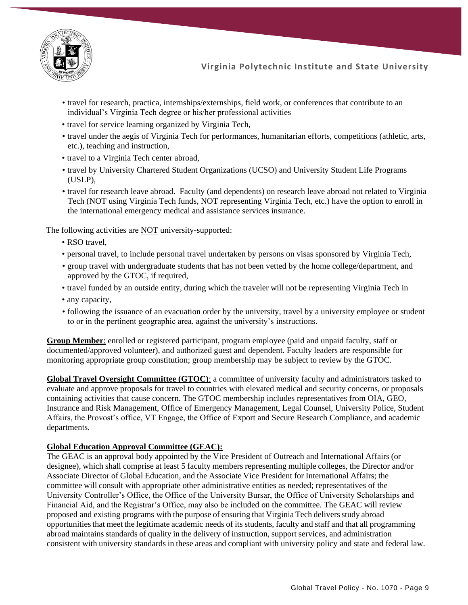

- travel for research, practica, internships/externships, field work, or conferences that contribute to an individual's Virginia Tech degree or his/her professional activities
- travel for service learning organized by Virginia Tech,
- travel under the aegis of Virginia Tech for performances, humanitarian efforts, competitions (athletic, arts, etc.), teaching and instruction,
- travel to a Virginia Tech center abroad,
- travel by University Chartered Student Organizations (UCSO) and University Student Life Programs (USLP),
- travel for research leave abroad. Faculty (and dependents) on research leave abroad not related to Virginia Tech (NOT using Virginia Tech funds, NOT representing Virginia Tech, etc.) have the option to enroll in the international emergency medical and assistance services insurance.

The following activities are **NOT** university-supported:

- RSO travel.
- personal travel, to include personal travel undertaken by persons on visas sponsored by Virginia Tech,
- group travel with undergraduate students that has not been vetted by the home college/department, and approved by the GTOC, if required,
- travel funded by an outside entity, during which the traveler will not be representing Virginia Tech in
- any capacity,
- following the issuance of an evacuation order by the university, travel by a university employee or student to or in the pertinent geographic area, against the university's instructions.

**Group Member**: enrolled or registered participant, program employee (paid and unpaid faculty, staff or documented/approved volunteer), and authorized guest and dependent. Faculty leaders are responsible for monitoring appropriate group constitution; group membership may be subject to review by the GTOC.

**Global Travel Oversight Committee (GTOC):** a committee of university faculty and administrators tasked to evaluate and approve proposals for travel to countries with elevated medical and security concerns, or proposals containing activities that cause concern. The GTOC membership includes representatives from OIA, GEO, Insurance and Risk Management, Office of Emergency Management, Legal Counsel, University Police, Student Affairs, the Provost's office, VT Engage, the Office of Export and Secure Research Compliance, and academic departments.

#### **Global Education Approval Committee (GEAC):**

The GEAC is an approval body appointed by the Vice President of Outreach and International Affairs (or designee), which shall comprise at least 5 faculty members representing multiple colleges, the Director and/or Associate Director of Global Education, and the Associate Vice President for International Affairs; the committee will consult with appropriate other administrative entities as needed; representatives of the University Controller's Office, the Office of the University Bursar, the Office of University Scholarships and Financial Aid, and the Registrar's Office, may also be included on the committee. The GEAC will review proposed and existing programs with the purpose of ensuring that Virginia Tech delivers study abroad opportunitiesthat meet the legitimate academic needs of its students, faculty and staff and that all programming abroad maintains standards of quality in the delivery of instruction, support services, and administration consistent with university standards in these areas and compliant with university policy and state and federal law.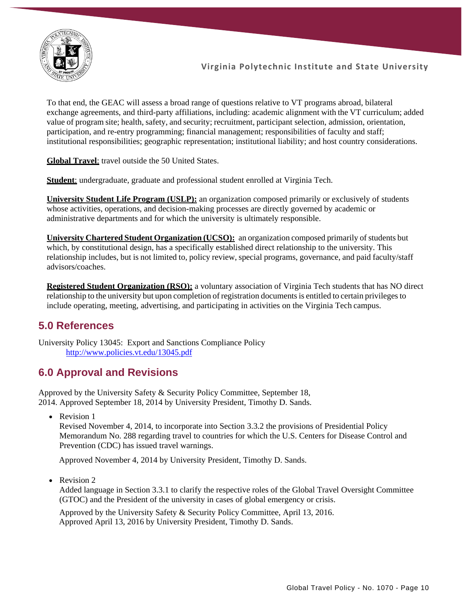

To that end, the GEAC will assess a broad range of questions relative to VT programs abroad, bilateral exchange agreements, and third-party affiliations, including: academic alignment with the VT curriculum; added value of program site; health, safety, and security; recruitment, participant selection, admission, orientation, participation, and re-entry programming; financial management; responsibilities of faculty and staff; institutional responsibilities; geographic representation; institutional liability; and host country considerations.

**Global Travel**: travel outside the 50 United States.

**Student**: undergraduate, graduate and professional student enrolled at Virginia Tech.

**University Student Life Program (USLP):** an organization composed primarily or exclusively of students whose activities, operations, and decision-making processes are directly governed by academic or administrative departments and for which the university is ultimately responsible.

**University Chartered Student Organization (UCSO):** an organization composed primarily of students but which, by constitutional design, has a specifically established direct relationship to the university. This relationship includes, but is not limited to, policy review, special programs, governance, and paid faculty/staff advisors/coaches.

**Registered Student Organization (RSO):** a voluntary association of Virginia Tech students that has NO direct relationship to the university but upon completion of registration documents is entitled to certain privileges to include operating, meeting, advertising, and participating in activities on the Virginia Tech campus.

### **5.0 References**

University Policy 13045: Export and Sanctions Compliance Policy <http://www.policies.vt.edu/13045.pdf>

## **6.0 Approval and Revisions**

Approved by the University Safety & Security Policy Committee, September 18, 2014. Approved September 18, 2014 by University President, Timothy D. Sands.

• Revision 1

Revised November 4, 2014, to incorporate into Section 3.3.2 the provisions of Presidential Policy Memorandum No. 288 regarding travel to countries for which the U.S. Centers for Disease Control and Prevention (CDC) has issued travel warnings.

Approved November 4, 2014 by University President, Timothy D. Sands.

• Revision 2

Added language in Section 3.3.1 to clarify the respective roles of the Global Travel Oversight Committee (GTOC) and the President of the university in cases of global emergency or crisis.

Approved by the University Safety & Security Policy Committee, April 13, 2016. Approved April 13, 2016 by University President, Timothy D. Sands.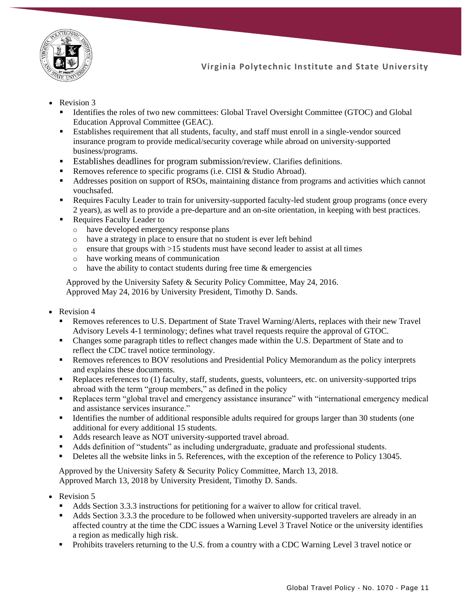

- Revision 3
	- Identifies the roles of two new committees: Global Travel Oversight Committee (GTOC) and Global Education Approval Committee (GEAC).
	- Establishes requirement that all students, faculty, and staff must enroll in a single-vendor sourced insurance program to provide medical/security coverage while abroad on university-supported business/programs.
	- Establishes deadlines for program submission/review. Clarifies definitions.
	- Removes reference to specific programs (i.e. CISI & Studio Abroad).
	- Addresses position on support of RSOs, maintaining distance from programs and activities which cannot vouchsafed.
	- Requires Faculty Leader to train for university-supported faculty-led student group programs (once every 2 years), as well as to provide a pre-departure and an on-site orientation, in keeping with best practices.
	- Requires Faculty Leader to
		- o have developed emergency response plans
		- o have a strategy in place to ensure that no student is ever left behind
		- $\circ$  ensure that groups with  $>15$  students must have second leader to assist at all times
		- o have working means of communication
		- $\circ$  have the ability to contact students during free time  $\&$  emergencies

Approved by the University Safety & Security Policy Committee, May 24, 2016. Approved May 24, 2016 by University President, Timothy D. Sands.

- Revision 4
	- Removes references to U.S. Department of State Travel Warning/Alerts, replaces with their new Travel Advisory Levels 4-1 terminology; defines what travel requests require the approval of GTOC.
	- Changes some paragraph titles to reflect changes made within the U.S. Department of State and to reflect the CDC travel notice terminology.
	- **Removes references to BOV resolutions and Presidential Policy Memorandum as the policy interprets** and explains these documents.
	- Replaces references to (1) faculty, staff, students, guests, volunteers, etc. on university-supported trips abroad with the term "group members," as defined in the policy
	- Replaces term "global travel and emergency assistance insurance" with "international emergency medical and assistance services insurance."
	- Identifies the number of additional responsible adults required for groups larger than 30 students (one additional for every additional 15 students.
	- Adds research leave as NOT university-supported travel abroad.
	- Adds definition of "students" as including undergraduate, graduate and professional students.
	- **•** Deletes all the website links in 5. References, with the exception of the reference to Policy 13045.

Approved by the University Safety & Security Policy Committee, March 13, 2018. Approved March 13, 2018 by University President, Timothy D. Sands.

- Revision 5
	- Adds Section 3.3.3 instructions for petitioning for a waiver to allow for critical travel.
	- Adds Section 3.3.3 the procedure to be followed when university-supported travelers are already in an affected country at the time the CDC issues a Warning Level 3 Travel Notice or the university identifies a region as medically high risk.
	- **•** Prohibits travelers returning to the U.S. from a country with a CDC Warning Level 3 travel notice or